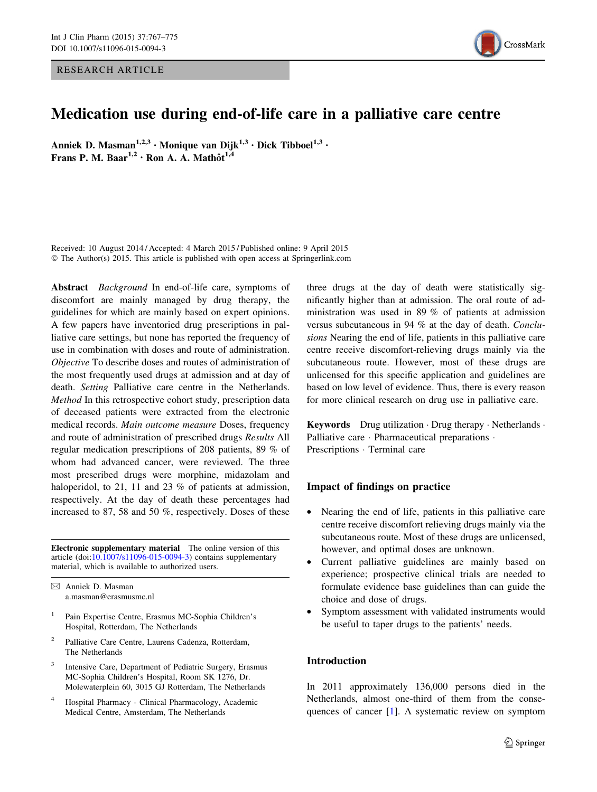RESEARCH ARTICLE



# Medication use during end-of-life care in a palliative care centre

Anniek D. Masman<sup>1,2,3</sup> · Monique van Dijk<sup>1,3</sup> · Dick Tibboel<sup>1,3</sup> · Frans P. M. Baar<sup>1,2</sup> · Ron A. A. Mathôt<sup>1,4</sup>

Received: 10 August 2014 / Accepted: 4 March 2015 / Published online: 9 April 2015 © The Author(s) 2015. This article is published with open access at Springerlink.com

Abstract *Background* In end-of-life care, symptoms of discomfort are mainly managed by drug therapy, the guidelines for which are mainly based on expert opinions. A few papers have inventoried drug prescriptions in palliative care settings, but none has reported the frequency of use in combination with doses and route of administration. Objective To describe doses and routes of administration of the most frequently used drugs at admission and at day of death. Setting Palliative care centre in the Netherlands. Method In this retrospective cohort study, prescription data of deceased patients were extracted from the electronic medical records. Main outcome measure Doses, frequency and route of administration of prescribed drugs Results All regular medication prescriptions of 208 patients, 89 % of whom had advanced cancer, were reviewed. The three most prescribed drugs were morphine, midazolam and haloperidol, to 21, 11 and 23 % of patients at admission, respectively. At the day of death these percentages had increased to 87, 58 and 50 %, respectively. Doses of these

Electronic supplementary material The online version of this article (doi:[10.1007/s11096-015-0094-3\)](http://dx.doi.org/10.1007/s11096-015-0094-3) contains supplementary material, which is available to authorized users.

& Anniek D. Masman a.masman@erasmusmc.nl

- <sup>1</sup> Pain Expertise Centre, Erasmus MC-Sophia Children's Hospital, Rotterdam, The Netherlands
- <sup>2</sup> Palliative Care Centre, Laurens Cadenza, Rotterdam, The Netherlands
- Intensive Care, Department of Pediatric Surgery, Erasmus MC-Sophia Children's Hospital, Room SK 1276, Dr. Molewaterplein 60, 3015 GJ Rotterdam, The Netherlands
- <sup>4</sup> Hospital Pharmacy Clinical Pharmacology, Academic Medical Centre, Amsterdam, The Netherlands

three drugs at the day of death were statistically significantly higher than at admission. The oral route of administration was used in 89 % of patients at admission versus subcutaneous in 94 % at the day of death. Conclusions Nearing the end of life, patients in this palliative care centre receive discomfort-relieving drugs mainly via the subcutaneous route. However, most of these drugs are unlicensed for this specific application and guidelines are based on low level of evidence. Thus, there is every reason for more clinical research on drug use in palliative care.

Keywords Drug utilization · Drug therapy · Netherlands · Palliative care · Pharmaceutical preparations · Prescriptions · Terminal care

# Impact of findings on practice

- Nearing the end of life, patients in this palliative care centre receive discomfort relieving drugs mainly via the subcutaneous route. Most of these drugs are unlicensed, however, and optimal doses are unknown.
- Current palliative guidelines are mainly based on experience; prospective clinical trials are needed to formulate evidence base guidelines than can guide the choice and dose of drugs.
- Symptom assessment with validated instruments would be useful to taper drugs to the patients' needs.

# Introduction

In 2011 approximately 136,000 persons died in the Netherlands, almost one-third of them from the consequences of cancer [[1\]](#page-7-0). A systematic review on symptom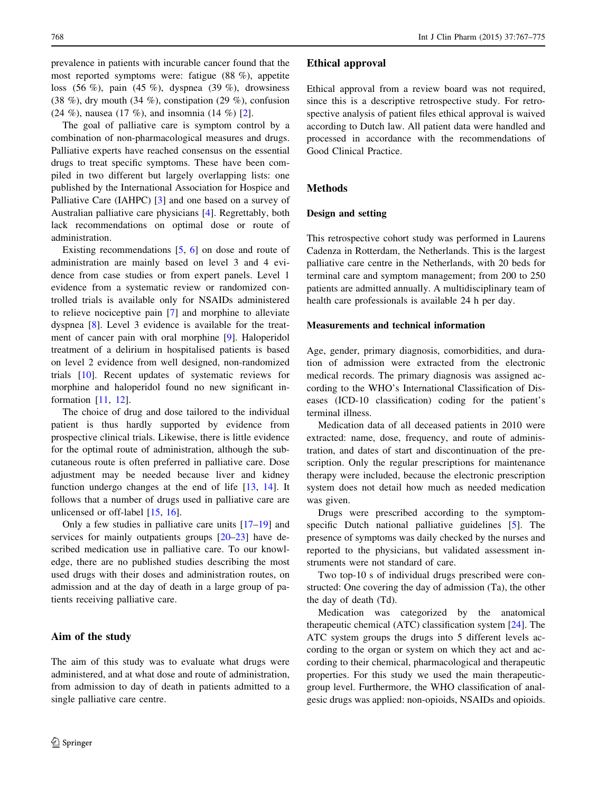768 Int J Clin Pharm (2015) 37:767–775

prevalence in patients with incurable cancer found that the most reported symptoms were: fatigue (88 %), appetite loss (56 %), pain (45 %), dyspnea (39 %), drowsiness (38 %), dry mouth (34 %), constipation (29 %), confusion (24 %), nausea (17 %), and insomnia (14 %) [\[2](#page-7-0)].

The goal of palliative care is symptom control by a combination of non-pharmacological measures and drugs. Palliative experts have reached consensus on the essential drugs to treat specific symptoms. These have been compiled in two different but largely overlapping lists: one published by the International Association for Hospice and Palliative Care (IAHPC) [\[3](#page-7-0)] and one based on a survey of Australian palliative care physicians [[4\]](#page-7-0). Regrettably, both lack recommendations on optimal dose or route of administration.

Existing recommendations  $[5, 6]$  $[5, 6]$  $[5, 6]$  on dose and route of administration are mainly based on level 3 and 4 evidence from case studies or from expert panels. Level 1 evidence from a systematic review or randomized controlled trials is available only for NSAIDs administered to relieve nociceptive pain [[7\]](#page-7-0) and morphine to alleviate dyspnea [[8](#page-7-0)]. Level 3 evidence is available for the treatment of cancer pain with oral morphine [\[9](#page-7-0)]. Haloperidol treatment of a delirium in hospitalised patients is based on level 2 evidence from well designed, non-randomized trials [\[10](#page-7-0)]. Recent updates of systematic reviews for morphine and haloperidol found no new significant information [\[11](#page-7-0), [12](#page-7-0)].

The choice of drug and dose tailored to the individual patient is thus hardly supported by evidence from prospective clinical trials. Likewise, there is little evidence for the optimal route of administration, although the subcutaneous route is often preferred in palliative care. Dose adjustment may be needed because liver and kidney function undergo changes at the end of life [\[13](#page-7-0), [14\]](#page-7-0). It follows that a number of drugs used in palliative care are unlicensed or off-label [[15,](#page-7-0) [16\]](#page-7-0).

Only a few studies in palliative care units [[17–19\]](#page-7-0) and services for mainly outpatients groups  $[20-23]$  $[20-23]$  $[20-23]$  $[20-23]$  have described medication use in palliative care. To our knowledge, there are no published studies describing the most used drugs with their doses and administration routes, on admission and at the day of death in a large group of patients receiving palliative care.

# Aim of the study

The aim of this study was to evaluate what drugs were administered, and at what dose and route of administration, from admission to day of death in patients admitted to a single palliative care centre.

# Ethical approval

Ethical approval from a review board was not required, since this is a descriptive retrospective study. For retrospective analysis of patient files ethical approval is waived according to Dutch law. All patient data were handled and processed in accordance with the recommendations of Good Clinical Practice.

# **Methods**

### Design and setting

This retrospective cohort study was performed in Laurens Cadenza in Rotterdam, the Netherlands. This is the largest palliative care centre in the Netherlands, with 20 beds for terminal care and symptom management; from 200 to 250 patients are admitted annually. A multidisciplinary team of health care professionals is available 24 h per day.

### Measurements and technical information

Age, gender, primary diagnosis, comorbidities, and duration of admission were extracted from the electronic medical records. The primary diagnosis was assigned according to the WHO's International Classification of Diseases (ICD-10 classification) coding for the patient's terminal illness.

Medication data of all deceased patients in 2010 were extracted: name, dose, frequency, and route of administration, and dates of start and discontinuation of the prescription. Only the regular prescriptions for maintenance therapy were included, because the electronic prescription system does not detail how much as needed medication was given.

Drugs were prescribed according to the symptomspecific Dutch national palliative guidelines [[5\]](#page-7-0). The presence of symptoms was daily checked by the nurses and reported to the physicians, but validated assessment instruments were not standard of care.

Two top-10 s of individual drugs prescribed were constructed: One covering the day of admission (Ta), the other the day of death (Td).

Medication was categorized by the anatomical therapeutic chemical (ATC) classification system [\[24](#page-7-0)]. The ATC system groups the drugs into 5 different levels according to the organ or system on which they act and according to their chemical, pharmacological and therapeutic properties. For this study we used the main therapeuticgroup level. Furthermore, the WHO classification of analgesic drugs was applied: non-opioids, NSAIDs and opioids.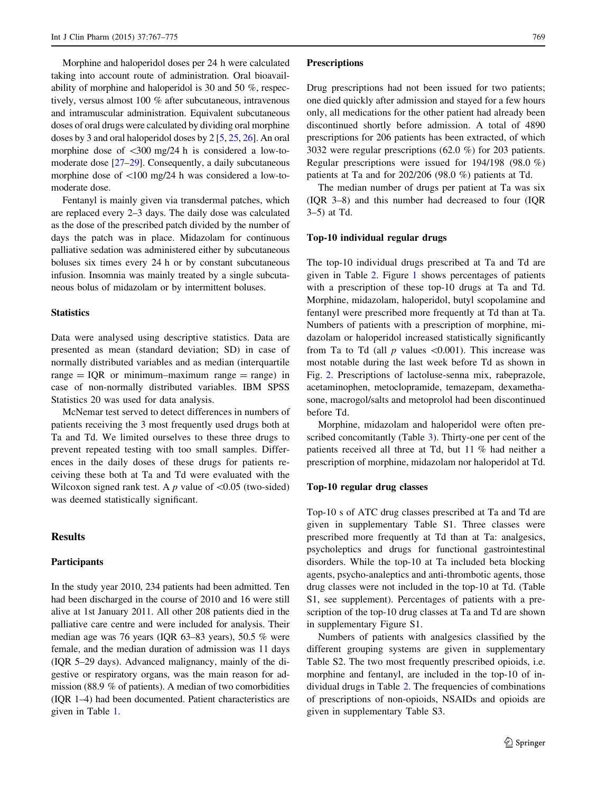Morphine and haloperidol doses per 24 h were calculated taking into account route of administration. Oral bioavailability of morphine and haloperidol is 30 and 50 %, respectively, versus almost 100 % after subcutaneous, intravenous and intramuscular administration. Equivalent subcutaneous doses of oral drugs were calculated by dividing oral morphine doses by 3 and oral haloperidol doses by 2 [\[5,](#page-7-0) [25,](#page-7-0) [26](#page-7-0)]. An oral morphine dose of  $\langle 300 \rangle$  mg/24 h is considered a low-tomoderate dose [[27–29\]](#page-7-0). Consequently, a daily subcutaneous morphine dose of  $\langle 100 \rangle$  mg/24 h was considered a low-tomoderate dose.

Fentanyl is mainly given via transdermal patches, which are replaced every 2–3 days. The daily dose was calculated as the dose of the prescribed patch divided by the number of days the patch was in place. Midazolam for continuous palliative sedation was administered either by subcutaneous boluses six times every 24 h or by constant subcutaneous infusion. Insomnia was mainly treated by a single subcutaneous bolus of midazolam or by intermittent boluses.

### **Statistics**

Data were analysed using descriptive statistics. Data are presented as mean (standard deviation; SD) in case of normally distributed variables and as median (interquartile range  $=$  IQR or minimum–maximum range  $=$  range) in case of non-normally distributed variables. IBM SPSS Statistics 20 was used for data analysis.

McNemar test served to detect differences in numbers of patients receiving the 3 most frequently used drugs both at Ta and Td. We limited ourselves to these three drugs to prevent repeated testing with too small samples. Differences in the daily doses of these drugs for patients receiving these both at Ta and Td were evaluated with the Wilcoxon signed rank test. A p value of  $\leq 0.05$  (two-sided) was deemed statistically significant.

# Results

### Participants

In the study year 2010, 234 patients had been admitted. Ten had been discharged in the course of 2010 and 16 were still alive at 1st January 2011. All other 208 patients died in the palliative care centre and were included for analysis. Their median age was 76 years (IQR 63–83 years), 50.5 % were female, and the median duration of admission was 11 days (IQR 5–29 days). Advanced malignancy, mainly of the digestive or respiratory organs, was the main reason for admission (88.9 % of patients). A median of two comorbidities (IQR 1–4) had been documented. Patient characteristics are given in Table [1.](#page-3-0)

#### **Prescriptions**

Drug prescriptions had not been issued for two patients; one died quickly after admission and stayed for a few hours only, all medications for the other patient had already been discontinued shortly before admission. A total of 4890 prescriptions for 206 patients has been extracted, of which 3032 were regular prescriptions (62.0 %) for 203 patients. Regular prescriptions were issued for 194/198 (98.0 %) patients at Ta and for 202/206 (98.0 %) patients at Td.

The median number of drugs per patient at Ta was six (IQR 3–8) and this number had decreased to four (IQR 3–5) at Td.

#### Top-10 individual regular drugs

The top-10 individual drugs prescribed at Ta and Td are given in Table [2](#page-3-0). Figure [1](#page-4-0) shows percentages of patients with a prescription of these top-10 drugs at Ta and Td. Morphine, midazolam, haloperidol, butyl scopolamine and fentanyl were prescribed more frequently at Td than at Ta. Numbers of patients with a prescription of morphine, midazolam or haloperidol increased statistically significantly from Ta to Td (all  $p$  values  $\leq 0.001$ ). This increase was most notable during the last week before Td as shown in Fig. [2](#page-4-0). Prescriptions of lactoluse-senna mix, rabeprazole, acetaminophen, metoclopramide, temazepam, dexamethasone, macrogol/salts and metoprolol had been discontinued before Td.

Morphine, midazolam and haloperidol were often prescribed concomitantly (Table [3](#page-5-0)). Thirty-one per cent of the patients received all three at Td, but 11 % had neither a prescription of morphine, midazolam nor haloperidol at Td.

#### Top-10 regular drug classes

Top-10 s of ATC drug classes prescribed at Ta and Td are given in supplementary Table S1. Three classes were prescribed more frequently at Td than at Ta: analgesics, psycholeptics and drugs for functional gastrointestinal disorders. While the top-10 at Ta included beta blocking agents, psycho-analeptics and anti-thrombotic agents, those drug classes were not included in the top-10 at Td. (Table S1, see supplement). Percentages of patients with a prescription of the top-10 drug classes at Ta and Td are shown in supplementary Figure S1.

Numbers of patients with analgesics classified by the different grouping systems are given in supplementary Table S2. The two most frequently prescribed opioids, i.e. morphine and fentanyl, are included in the top-10 of individual drugs in Table [2.](#page-3-0) The frequencies of combinations of prescriptions of non-opioids, NSAIDs and opioids are given in supplementary Table S3.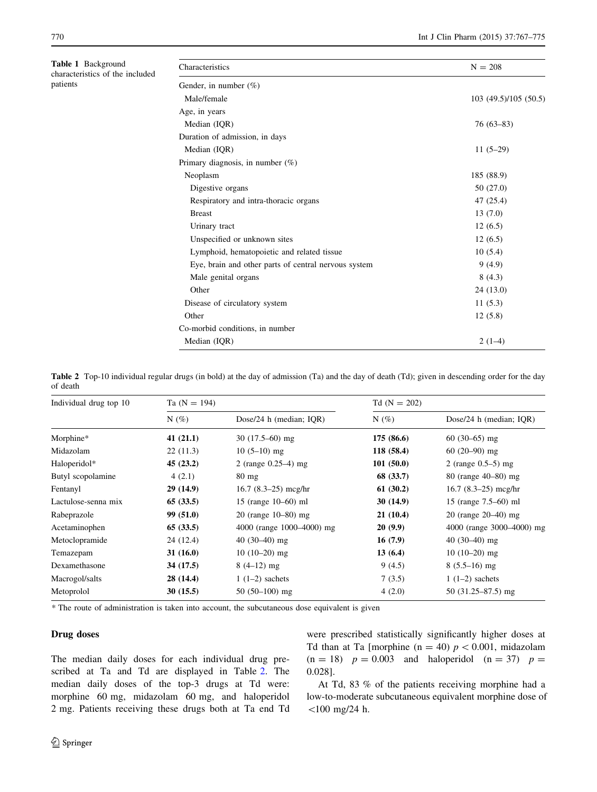<span id="page-3-0"></span>

| Table 1 Background<br>characteristics of the included<br>patients | Characteristics                                      | $N = 208$             |  |  |  |
|-------------------------------------------------------------------|------------------------------------------------------|-----------------------|--|--|--|
|                                                                   | Gender, in number $(\%)$                             |                       |  |  |  |
|                                                                   | Male/female                                          | 103 (49.5)/105 (50.5) |  |  |  |
|                                                                   | Age, in years                                        |                       |  |  |  |
|                                                                   | Median (IQR)                                         | $76(63 - 83)$         |  |  |  |
|                                                                   | Duration of admission, in days                       |                       |  |  |  |
|                                                                   | Median (IQR)                                         | $11(5-29)$            |  |  |  |
|                                                                   | Primary diagnosis, in number $(\%)$                  |                       |  |  |  |
|                                                                   | Neoplasm                                             | 185 (88.9)            |  |  |  |
|                                                                   | Digestive organs                                     | 50 (27.0)             |  |  |  |
|                                                                   | Respiratory and intra-thoracic organs                | 47 (25.4)             |  |  |  |
|                                                                   | <b>Breast</b>                                        | 13(7.0)               |  |  |  |
|                                                                   | Urinary tract                                        | 12(6.5)               |  |  |  |
|                                                                   | Unspecified or unknown sites                         | 12(6.5)               |  |  |  |
|                                                                   | Lymphoid, hematopoietic and related tissue           | 10(5.4)               |  |  |  |
|                                                                   | Eye, brain and other parts of central nervous system | 9(4.9)                |  |  |  |
|                                                                   | Male genital organs                                  | 8(4.3)                |  |  |  |
|                                                                   | Other                                                | 24(13.0)              |  |  |  |
|                                                                   | Disease of circulatory system                        | 11(5.3)               |  |  |  |
|                                                                   | Other                                                | 12(5.8)               |  |  |  |
|                                                                   | Co-morbid conditions, in number                      |                       |  |  |  |
|                                                                   | Median (IQR)                                         | $2(1-4)$              |  |  |  |

Table 2 Top-10 individual regular drugs (in bold) at the day of admission (Ta) and the day of death (Td); given in descending order for the day of death

| Individual drug top 10 | Ta $(N = 194)$ |                            | $Td(N = 202)$ |                            |  |
|------------------------|----------------|----------------------------|---------------|----------------------------|--|
|                        | $N(\%)$        | Dose/24 h (median; $IQR$ ) | $N(\%)$       | Dose/24 h (median; $IQR$ ) |  |
| Morphine*              | 41 $(21.1)$    | $30(17.5-60)$ mg           | 175 (86.6)    | $60(30-65)$ mg             |  |
| Midazolam              | 22(11.3)       | $10(5-10)$ mg              | 118(58.4)     | $60(20-90)$ mg             |  |
| Haloperidol*           | 45(23.2)       | 2 (range $0.25-4$ ) mg     | 101(50.0)     | 2 (range $0.5-5$ ) mg      |  |
| Butyl scopolamine      | 4(2.1)         | $80 \text{ mg}$            | 68 (33.7)     | 80 (range 40–80) mg        |  |
| Fentanyl               | 29(14.9)       | $16.7$ (8.3–25) mcg/hr     | 61(30.2)      | $16.7$ (8.3–25) mcg/hr     |  |
| Lactulose-senna mix    | 65(33.5)       | 15 (range 10–60) ml        | 30(14.9)      | 15 (range 7.5–60) ml       |  |
| Rabeprazole            | 99(51.0)       | 20 (range $10 - 80$ ) mg   | 21(10.4)      | 20 (range $20 - 40$ ) mg   |  |
| Acetaminophen          | 65(33.5)       | 4000 (range 1000–4000) mg  | 20(9.9)       | 4000 (range 3000–4000) mg  |  |
| Metoclopramide         | 24 (12.4)      | $40(30-40)$ mg             | 16(7.9)       | $40(30-40)$ mg             |  |
| Temazepam              | 31(16.0)       | $10(10-20)$ mg             | 13(6.4)       | $10(10-20)$ mg             |  |
| Dexamethasone          | 34(17.5)       | $8(4-12)$ mg               | 9(4.5)        | $8(5.5-16)$ mg             |  |
| Macrogol/salts         | 28(14.4)       | $1(1-2)$ sachets           | 7(3.5)        | $1(1-2)$ sachets           |  |
| Metoprolol             | 30(15.5)       | $50(50-100)$ mg            | 4(2.0)        | $50(31.25 - 87.5)$ mg      |  |

\* The route of administration is taken into account, the subcutaneous dose equivalent is given

# Drug doses

The median daily doses for each individual drug prescribed at Ta and Td are displayed in Table 2. The median daily doses of the top-3 drugs at Td were: morphine 60 mg, midazolam 60 mg, and haloperidol 2 mg. Patients receiving these drugs both at Ta end Td were prescribed statistically significantly higher doses at Td than at Ta [morphine ( $n = 40$ )  $p < 0.001$ , midazolam  $(n = 18)$   $p = 0.003$  and haloperidol  $(n = 37)$   $p =$ 0.028].

At Td, 83 % of the patients receiving morphine had a low-to-moderate subcutaneous equivalent morphine dose of  $<$ 100 mg/24 h.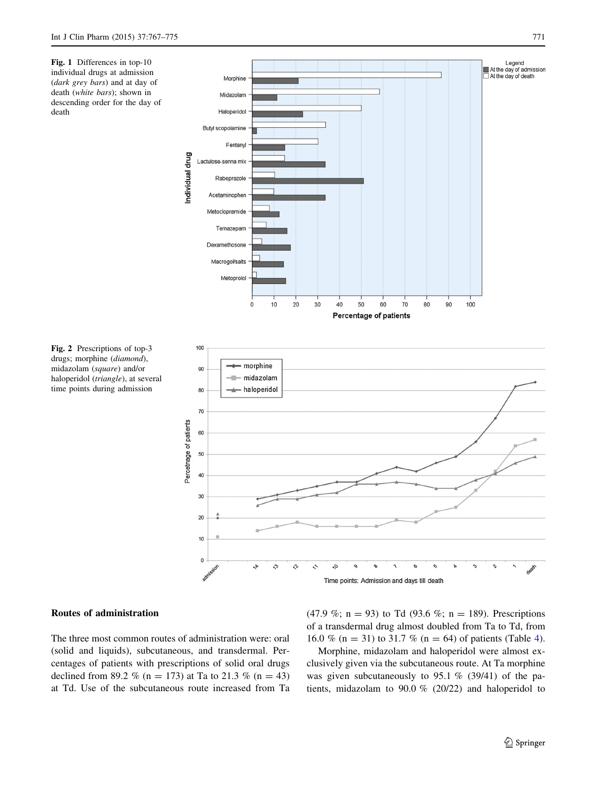<span id="page-4-0"></span>Fig. 1 Differences in top-10 individual drugs at admission (dark grey bars) and at day of death (white bars); shown in descending order for the day of death



Fig. 2 Prescriptions of top-3 drugs; morphine (diamond), midazolam (square) and/or haloperidol (triangle), at several time points during admission

# Routes of administration

The three most common routes of administration were: oral (solid and liquids), subcutaneous, and transdermal. Percentages of patients with prescriptions of solid oral drugs declined from 89.2 % (n = 173) at Ta to 21.3 % (n = 43) at Td. Use of the subcutaneous route increased from Ta (47.9 %; n = 93) to Td (93.6 %; n = 189). Prescriptions of a transdermal drug almost doubled from Ta to Td, from 16.0 % (n = 31) to 31.7 % (n = 6[4](#page-5-0)) of patients (Table 4).

Morphine, midazolam and haloperidol were almost exclusively given via the subcutaneous route. At Ta morphine was given subcutaneously to 95.1 % (39/41) of the patients, midazolam to 90.0 % (20/22) and haloperidol to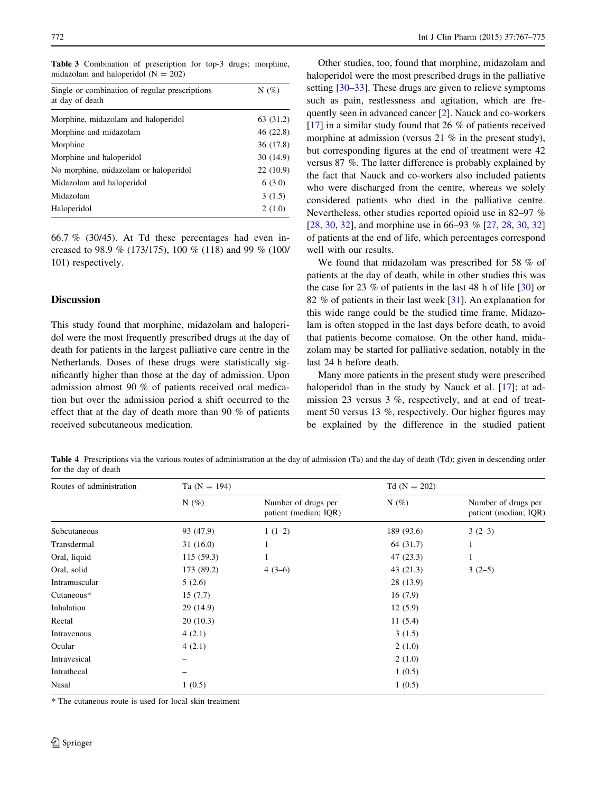<span id="page-5-0"></span>

| <b>Table 3</b> Combination of prescription for top-3 drugs; morphine, |  |  |  |
|-----------------------------------------------------------------------|--|--|--|
| midazolam and haloperidol $(N = 202)$                                 |  |  |  |

| Single or combination of regular prescriptions<br>at day of death | N $(\%)$  |
|-------------------------------------------------------------------|-----------|
| Morphine, midazolam and haloperidol                               | 63 (31.2) |
| Morphine and midazolam                                            | 46(22.8)  |
| Morphine                                                          | 36 (17.8) |
| Morphine and haloperidol                                          | 30(14.9)  |
| No morphine, midazolam or haloperidol                             | 22(10.9)  |
| Midazolam and haloperidol                                         | 6(3.0)    |
| Midazolam                                                         | 3(1.5)    |
| Haloperidol                                                       | 2(1.0)    |

66.7 % (30/45). At Td these percentages had even increased to 98.9 % (173/175), 100 % (118) and 99 % (100/ 101) respectively.

# Discussion

This study found that morphine, midazolam and haloperidol were the most frequently prescribed drugs at the day of death for patients in the largest palliative care centre in the Netherlands. Doses of these drugs were statistically significantly higher than those at the day of admission. Upon admission almost 90 % of patients received oral medication but over the admission period a shift occurred to the effect that at the day of death more than 90 % of patients received subcutaneous medication.

Other studies, too, found that morphine, midazolam and haloperidol were the most prescribed drugs in the palliative setting [[30–33\]](#page-7-0). These drugs are given to relieve symptoms such as pain, restlessness and agitation, which are frequently seen in advanced cancer [[2\]](#page-7-0). Nauck and co-workers [\[17](#page-7-0)] in a similar study found that 26 % of patients received morphine at admission (versus 21 % in the present study), but corresponding figures at the end of treatment were 42 versus 87 %. The latter difference is probably explained by the fact that Nauck and co-workers also included patients who were discharged from the centre, whereas we solely considered patients who died in the palliative centre. Nevertheless, other studies reported opioid use in 82–97 % [\[28](#page-7-0), [30,](#page-7-0) [32\]](#page-7-0), and morphine use in 66–93 % [\[27](#page-7-0), [28,](#page-7-0) 30, 32] of patients at the end of life, which percentages correspond well with our results.

We found that midazolam was prescribed for 58 % of patients at the day of death, while in other studies this was the case for 23 % of patients in the last 48 h of life [[30\]](#page-7-0) or 82 % of patients in their last week [[31\]](#page-7-0). An explanation for this wide range could be the studied time frame. Midazolam is often stopped in the last days before death, to avoid that patients become comatose. On the other hand, midazolam may be started for palliative sedation, notably in the last 24 h before death.

Many more patients in the present study were prescribed haloperidol than in the study by Nauck et al. [[17\]](#page-7-0); at admission 23 versus 3 %, respectively, and at end of treatment 50 versus 13 %, respectively. Our higher figures may be explained by the difference in the studied patient

Table 4 Prescriptions via the various routes of administration at the day of admission (Ta) and the day of death (Td); given in descending order for the day of death

| Routes of administration | Ta $(N = 194)$ |                                              | $Td(N = 202)$ |                                              |  |
|--------------------------|----------------|----------------------------------------------|---------------|----------------------------------------------|--|
|                          | $N(\%)$        | Number of drugs per<br>patient (median; IQR) | $N(\%)$       | Number of drugs per<br>patient (median; IQR) |  |
| Subcutaneous             | 93 (47.9)      | $1(1-2)$                                     | 189 (93.6)    | $3(2-3)$                                     |  |
| Transdermal              | 31(16.0)       | 1                                            | 64 (31.7)     | 1                                            |  |
| Oral, liquid             | 115(59.3)      |                                              | 47(23.3)      | 1                                            |  |
| Oral, solid              | 173 (89.2)     | $4(3-6)$                                     | 43(21.3)      | $3(2-5)$                                     |  |
| Intramuscular            | 5(2.6)         |                                              | 28 (13.9)     |                                              |  |
| Cutaneous*               | 15(7.7)        |                                              | 16(7.9)       |                                              |  |
| Inhalation               | 29 (14.9)      |                                              | 12(5.9)       |                                              |  |
| Rectal                   | 20(10.3)       |                                              | 11(5.4)       |                                              |  |
| Intravenous              | 4(2.1)         |                                              | 3(1.5)        |                                              |  |
| Ocular                   | 4(2.1)         |                                              | 2(1.0)        |                                              |  |
| Intravesical             |                |                                              | 2(1.0)        |                                              |  |
| Intrathecal              |                |                                              | 1(0.5)        |                                              |  |
| Nasal                    | 1(0.5)         |                                              | 1(0.5)        |                                              |  |
|                          |                |                                              |               |                                              |  |

\* The cutaneous route is used for local skin treatment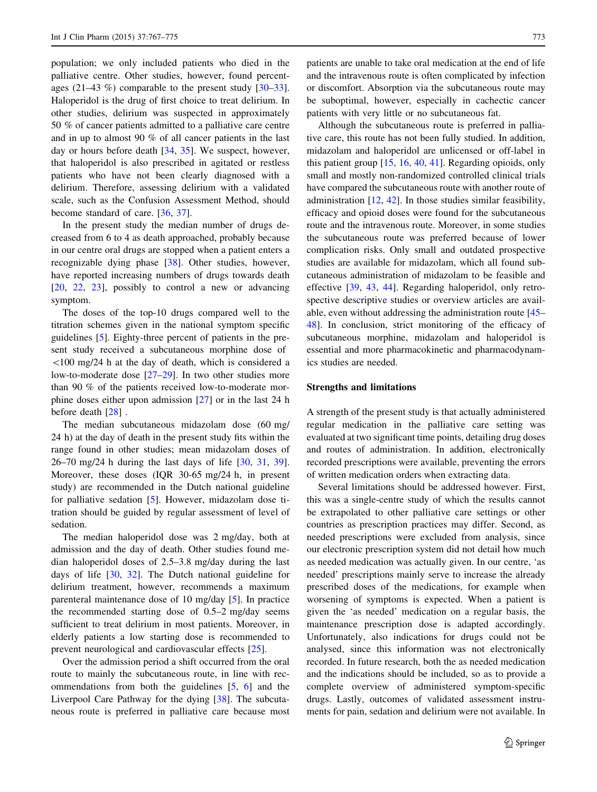population; we only included patients who died in the palliative centre. Other studies, however, found percentages  $(21-43\%)$  comparable to the present study  $[30-33]$ . Haloperidol is the drug of first choice to treat delirium. In other studies, delirium was suspected in approximately 50 % of cancer patients admitted to a palliative care centre and in up to almost 90 % of all cancer patients in the last day or hours before death [\[34](#page-7-0), [35](#page-8-0)]. We suspect, however, that haloperidol is also prescribed in agitated or restless patients who have not been clearly diagnosed with a delirium. Therefore, assessing delirium with a validated scale, such as the Confusion Assessment Method, should become standard of care. [\[36](#page-8-0), [37](#page-8-0)].

In the present study the median number of drugs decreased from 6 to 4 as death approached, probably because in our centre oral drugs are stopped when a patient enters a recognizable dying phase [\[38](#page-8-0)]. Other studies, however, have reported increasing numbers of drugs towards death [\[20](#page-7-0), [22,](#page-7-0) [23](#page-7-0)], possibly to control a new or advancing symptom.

The doses of the top-10 drugs compared well to the titration schemes given in the national symptom specific guidelines [[5\]](#page-7-0). Eighty-three percent of patients in the present study received a subcutaneous morphine dose of  $100 \text{ mg}/24$  h at the day of death, which is considered a low-to-moderate dose [\[27–29](#page-7-0)]. In two other studies more than 90 % of the patients received low-to-moderate morphine doses either upon admission [[27\]](#page-7-0) or in the last 24 h before death [\[28](#page-7-0)] .

The median subcutaneous midazolam dose (60 mg/ 24 h) at the day of death in the present study fits within the range found in other studies; mean midazolam doses of 26–70 mg/24 h during the last days of life [[30,](#page-7-0) [31](#page-7-0), [39](#page-8-0)]. Moreover, these doses (IQR 30-65 mg/24 h, in present study) are recommended in the Dutch national guideline for palliative sedation [[5\]](#page-7-0). However, midazolam dose titration should be guided by regular assessment of level of sedation.

The median haloperidol dose was 2 mg/day, both at admission and the day of death. Other studies found median haloperidol doses of 2.5–3.8 mg/day during the last days of life [\[30](#page-7-0), [32\]](#page-7-0). The Dutch national guideline for delirium treatment, however, recommends a maximum parenteral maintenance dose of 10 mg/day [[5\]](#page-7-0). In practice the recommended starting dose of 0.5–2 mg/day seems sufficient to treat delirium in most patients. Moreover, in elderly patients a low starting dose is recommended to prevent neurological and cardiovascular effects [[25\]](#page-7-0).

Over the admission period a shift occurred from the oral route to mainly the subcutaneous route, in line with recommendations from both the guidelines [[5,](#page-7-0) [6](#page-7-0)] and the Liverpool Care Pathway for the dying [\[38](#page-8-0)]. The subcutaneous route is preferred in palliative care because most patients are unable to take oral medication at the end of life and the intravenous route is often complicated by infection or discomfort. Absorption via the subcutaneous route may be suboptimal, however, especially in cachectic cancer patients with very little or no subcutaneous fat.

Although the subcutaneous route is preferred in palliative care, this route has not been fully studied. In addition, midazolam and haloperidol are unlicensed or off-label in this patient group [[15,](#page-7-0) [16](#page-7-0), [40](#page-8-0), [41\]](#page-8-0). Regarding opioids, only small and mostly non-randomized controlled clinical trials have compared the subcutaneous route with another route of administration [\[12](#page-7-0), [42\]](#page-8-0). In those studies similar feasibility, efficacy and opioid doses were found for the subcutaneous route and the intravenous route. Moreover, in some studies the subcutaneous route was preferred because of lower complication risks. Only small and outdated prospective studies are available for midazolam, which all found subcutaneous administration of midazolam to be feasible and effective [[39,](#page-8-0) [43](#page-8-0), [44\]](#page-8-0). Regarding haloperidol, only retrospective descriptive studies or overview articles are available, even without addressing the administration route [\[45](#page-8-0)– [48](#page-8-0)]. In conclusion, strict monitoring of the efficacy of subcutaneous morphine, midazolam and haloperidol is essential and more pharmacokinetic and pharmacodynamics studies are needed.

# Strengths and limitations

A strength of the present study is that actually administered regular medication in the palliative care setting was evaluated at two significant time points, detailing drug doses and routes of administration. In addition, electronically recorded prescriptions were available, preventing the errors of written medication orders when extracting data.

Several limitations should be addressed however. First, this was a single-centre study of which the results cannot be extrapolated to other palliative care settings or other countries as prescription practices may differ. Second, as needed prescriptions were excluded from analysis, since our electronic prescription system did not detail how much as needed medication was actually given. In our centre, 'as needed' prescriptions mainly serve to increase the already prescribed doses of the medications, for example when worsening of symptoms is expected. When a patient is given the 'as needed' medication on a regular basis, the maintenance prescription dose is adapted accordingly. Unfortunately, also indications for drugs could not be analysed, since this information was not electronically recorded. In future research, both the as needed medication and the indications should be included, so as to provide a complete overview of administered symptom-specific drugs. Lastly, outcomes of validated assessment instruments for pain, sedation and delirium were not available. In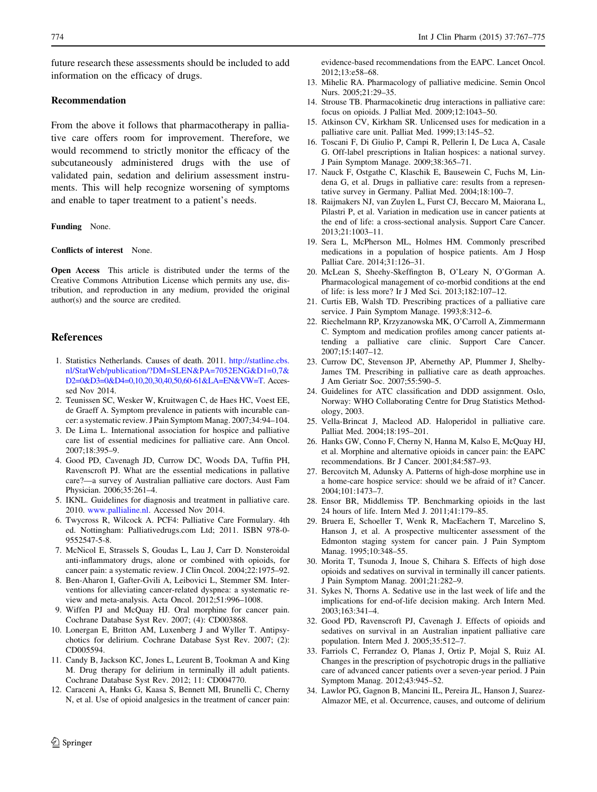<span id="page-7-0"></span>future research these assessments should be included to add information on the efficacy of drugs.

#### Recommendation

From the above it follows that pharmacotherapy in palliative care offers room for improvement. Therefore, we would recommend to strictly monitor the efficacy of the subcutaneously administered drugs with the use of validated pain, sedation and delirium assessment instruments. This will help recognize worsening of symptoms and enable to taper treatment to a patient's needs.

#### Funding None.

Conflicts of interest None.

Open Access This article is distributed under the terms of the Creative Commons Attribution License which permits any use, distribution, and reproduction in any medium, provided the original author(s) and the source are credited.

# References

- 1. Statistics Netherlands. Causes of death. 2011. [http://statline.cbs.](http://statline.cbs.nl/StatWeb/publication/?DM=SLEN&PA=7052ENG&D1=0,7&D2=0&D3=0&D4=0,10,20,30,40,50,60-61&LA=EN&VW=T) [nl/StatWeb/publication/?DM=SLEN&PA=7052ENG&D1=0,7&](http://statline.cbs.nl/StatWeb/publication/?DM=SLEN&PA=7052ENG&D1=0,7&D2=0&D3=0&D4=0,10,20,30,40,50,60-61&LA=EN&VW=T) [D2=0&D3=0&D4=0,10,20,30,40,50,60-61&LA=EN&VW=T.](http://statline.cbs.nl/StatWeb/publication/?DM=SLEN&PA=7052ENG&D1=0,7&D2=0&D3=0&D4=0,10,20,30,40,50,60-61&LA=EN&VW=T) Accessed Nov 2014.
- 2. Teunissen SC, Wesker W, Kruitwagen C, de Haes HC, Voest EE, de Graeff A. Symptom prevalence in patients with incurable cancer: a systematic review. J Pain Symptom Manag. 2007;34:94–104.
- 3. De Lima L. International association for hospice and palliative care list of essential medicines for palliative care. Ann Oncol. 2007;18:395–9.
- 4. Good PD, Cavenagh JD, Currow DC, Woods DA, Tuffin PH, Ravenscroft PJ. What are the essential medications in pallative care?—a survey of Australian palliative care doctors. Aust Fam Physician. 2006;35:261–4.
- 5. IKNL. Guidelines for diagnosis and treatment in palliative care. 2010. [www.pallialine.nl](http://www.pallialine.nl). Accessed Nov 2014.
- 6. Twycross R, Wilcock A. PCF4: Palliative Care Formulary. 4th ed. Nottingham: Palliativedrugs.com Ltd; 2011. ISBN 978-0- 9552547-5-8.
- 7. McNicol E, Strassels S, Goudas L, Lau J, Carr D. Nonsteroidal anti-inflammatory drugs, alone or combined with opioids, for cancer pain: a systematic review. J Clin Oncol. 2004;22:1975–92.
- 8. Ben-Aharon I, Gafter-Gvili A, Leibovici L, Stemmer SM. Interventions for alleviating cancer-related dyspnea: a systematic review and meta-analysis. Acta Oncol. 2012;51:996–1008.
- 9. Wiffen PJ and McQuay HJ. Oral morphine for cancer pain. Cochrane Database Syst Rev. 2007; (4): CD003868.
- 10. Lonergan E, Britton AM, Luxenberg J and Wyller T. Antipsychotics for delirium. Cochrane Database Syst Rev. 2007; (2): CD005594.
- 11. Candy B, Jackson KC, Jones L, Leurent B, Tookman A and King M. Drug therapy for delirium in terminally ill adult patients. Cochrane Database Syst Rev. 2012; 11: CD004770.
- 12. Caraceni A, Hanks G, Kaasa S, Bennett MI, Brunelli C, Cherny N, et al. Use of opioid analgesics in the treatment of cancer pain:

evidence-based recommendations from the EAPC. Lancet Oncol. 2012;13:e58–68.

- 13. Mihelic RA. Pharmacology of palliative medicine. Semin Oncol Nurs. 2005;21:29–35.
- 14. Strouse TB. Pharmacokinetic drug interactions in palliative care: focus on opioids. J Palliat Med. 2009;12:1043–50.
- 15. Atkinson CV, Kirkham SR. Unlicensed uses for medication in a palliative care unit. Palliat Med. 1999;13:145–52.
- 16. Toscani F, Di Giulio P, Campi R, Pellerin I, De Luca A, Casale G. Off-label prescriptions in Italian hospices: a national survey. J Pain Symptom Manage. 2009;38:365–71.
- 17. Nauck F, Ostgathe C, Klaschik E, Bausewein C, Fuchs M, Lindena G, et al. Drugs in palliative care: results from a representative survey in Germany. Palliat Med. 2004;18:100–7.
- 18. Raijmakers NJ, van Zuylen L, Furst CJ, Beccaro M, Maiorana L, Pilastri P, et al. Variation in medication use in cancer patients at the end of life: a cross-sectional analysis. Support Care Cancer. 2013;21:1003–11.
- 19. Sera L, McPherson ML, Holmes HM. Commonly prescribed medications in a population of hospice patients. Am J Hosp Palliat Care. 2014;31:126–31.
- 20. McLean S, Sheehy-Skeffington B, O'Leary N, O'Gorman A. Pharmacological management of co-morbid conditions at the end of life: is less more? Ir J Med Sci. 2013;182:107–12.
- 21. Curtis EB, Walsh TD. Prescribing practices of a palliative care service. J Pain Symptom Manage. 1993;8:312–6.
- 22. Riechelmann RP, Krzyzanowska MK, O'Carroll A, Zimmermann C. Symptom and medication profiles among cancer patients attending a palliative care clinic. Support Care Cancer. 2007;15:1407–12.
- 23. Currow DC, Stevenson JP, Abernethy AP, Plummer J, Shelby-James TM. Prescribing in palliative care as death approaches. J Am Geriatr Soc. 2007;55:590–5.
- 24. Guidelines for ATC classification and DDD assignment. Oslo, Norway: WHO Collaborating Centre for Drug Statistics Methodology, 2003.
- 25. Vella-Brincat J, Macleod AD. Haloperidol in palliative care. Palliat Med. 2004;18:195–201.
- 26. Hanks GW, Conno F, Cherny N, Hanna M, Kalso E, McQuay HJ, et al. Morphine and alternative opioids in cancer pain: the EAPC recommendations. Br J Cancer. 2001;84:587–93.
- 27. Bercovitch M, Adunsky A. Patterns of high-dose morphine use in a home-care hospice service: should we be afraid of it? Cancer. 2004;101:1473–7.
- 28. Ensor BR, Middlemiss TP. Benchmarking opioids in the last 24 hours of life. Intern Med J. 2011;41:179–85.
- 29. Bruera E, Schoeller T, Wenk R, MacEachern T, Marcelino S, Hanson J, et al. A prospective multicenter assessment of the Edmonton staging system for cancer pain. J Pain Symptom Manag. 1995;10:348–55.
- 30. Morita T, Tsunoda J, Inoue S, Chihara S. Effects of high dose opioids and sedatives on survival in terminally ill cancer patients. J Pain Symptom Manag. 2001;21:282–9.
- 31. Sykes N, Thorns A. Sedative use in the last week of life and the implications for end-of-life decision making. Arch Intern Med. 2003;163:341–4.
- 32. Good PD, Ravenscroft PJ, Cavenagh J. Effects of opioids and sedatives on survival in an Australian inpatient palliative care population. Intern Med J. 2005;35:512–7.
- 33. Farriols C, Ferrandez O, Planas J, Ortiz P, Mojal S, Ruiz AI. Changes in the prescription of psychotropic drugs in the palliative care of advanced cancer patients over a seven-year period. J Pain Symptom Manag. 2012;43:945–52.
- 34. Lawlor PG, Gagnon B, Mancini IL, Pereira JL, Hanson J, Suarez-Almazor ME, et al. Occurrence, causes, and outcome of delirium